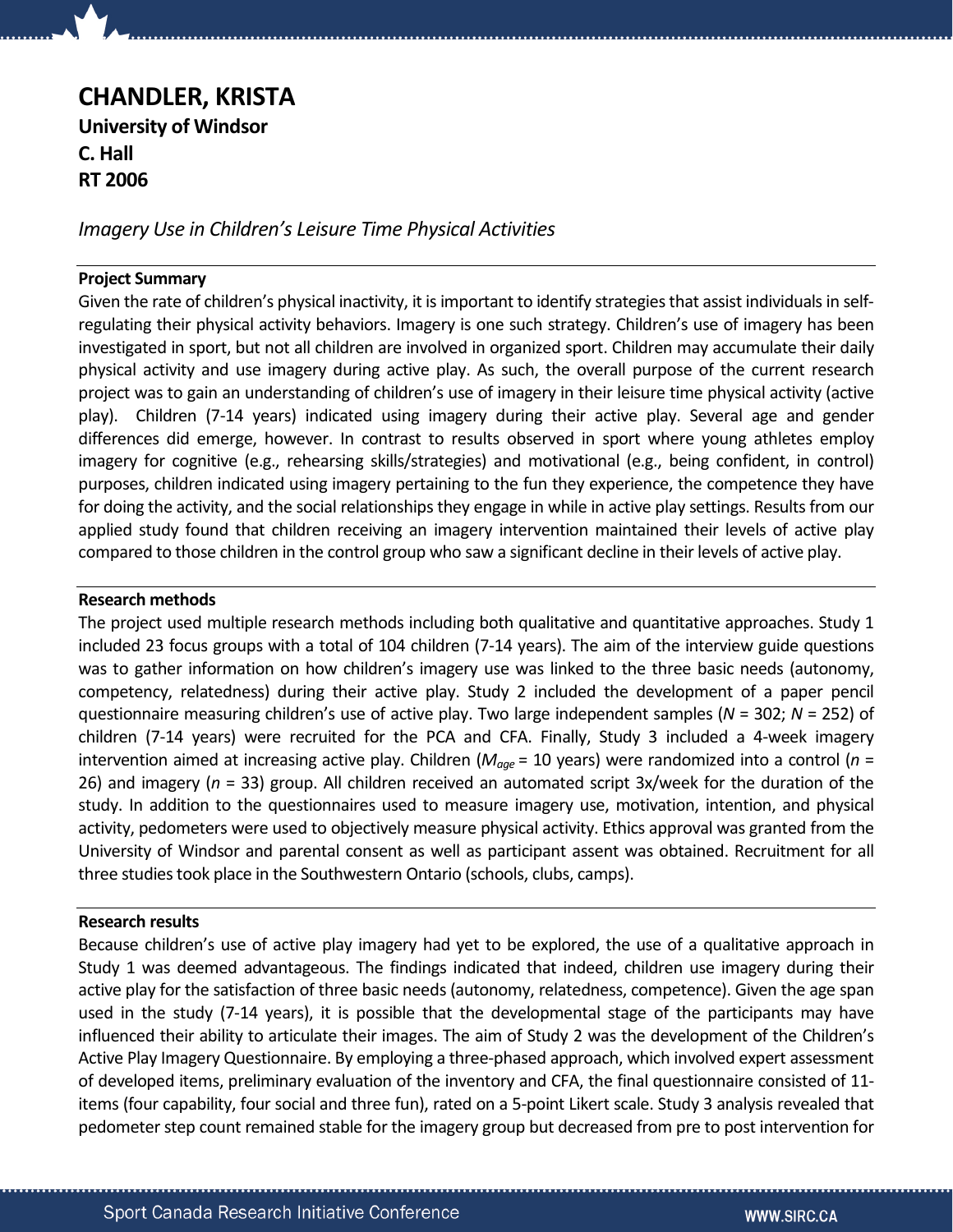# CHANDLER, KRISTA University of Windsor C. Hall RT 2006

Imagery Use in Children's Leisure Time Physical Activities

## Project Summary

Given the rate of children's physical inactivity, it is important to identify strategies that assist individuals in selfregulating their physical activity behaviors. Imagery is one such strategy. Children's use of imagery has been investigated in sport, but not all children are involved in organized sport. Children may accumulate their daily physical activity and use imagery during active play. As such, the overall purpose of the current research project was to gain an understanding of children's use of imagery in their leisure time physical activity (active play). Children (7-14 years) indicated using imagery during their active play. Several age and gender differences did emerge, however. In contrast to results observed in sport where young athletes employ imagery for cognitive (e.g., rehearsing skills/strategies) and motivational (e.g., being confident, in control) purposes, children indicated using imagery pertaining to the fun they experience, the competence they have for doing the activity, and the social relationships they engage in while in active play settings. Results from our applied study found that children receiving an imagery intervention maintained their levels of active play compared to those children in the control group who saw a significant decline in their levels of active play.

## Research methods

The project used multiple research methods including both qualitative and quantitative approaches. Study 1 included 23 focus groups with a total of 104 children (7-14 years). The aim of the interview guide questions was to gather information on how children's imagery use was linked to the three basic needs (autonomy, competency, relatedness) during their active play. Study 2 included the development of a paper pencil questionnaire measuring children's use of active play. Two large independent samples ( $N = 302$ ;  $N = 252$ ) of children (7-14 years) were recruited for the PCA and CFA. Finally, Study 3 included a 4-week imagery intervention aimed at increasing active play. Children ( $M_{age}$  = 10 years) were randomized into a control ( $n =$ 26) and imagery ( $n = 33$ ) group. All children received an automated script 3x/week for the duration of the study. In addition to the questionnaires used to measure imagery use, motivation, intention, and physical activity, pedometers were used to objectively measure physical activity. Ethics approval was granted from the University of Windsor and parental consent as well as participant assent was obtained. Recruitment for all three studies took place in the Southwestern Ontario (schools, clubs, camps).

# Research results

Because children's use of active play imagery had yet to be explored, the use of a qualitative approach in Study 1 was deemed advantageous. The findings indicated that indeed, children use imagery during their active play for the satisfaction of three basic needs (autonomy, relatedness, competence). Given the age span used in the study (7-14 years), it is possible that the developmental stage of the participants may have influenced their ability to articulate their images. The aim of Study 2 was the development of the Children's Active Play Imagery Questionnaire. By employing a three-phased approach, which involved expert assessment of developed items, preliminary evaluation of the inventory and CFA, the final questionnaire consisted of 11 items (four capability, four social and three fun), rated on a 5-point Likert scale. Study 3 analysis revealed that pedometer step count remained stable for the imagery group but decreased from pre to post intervention for